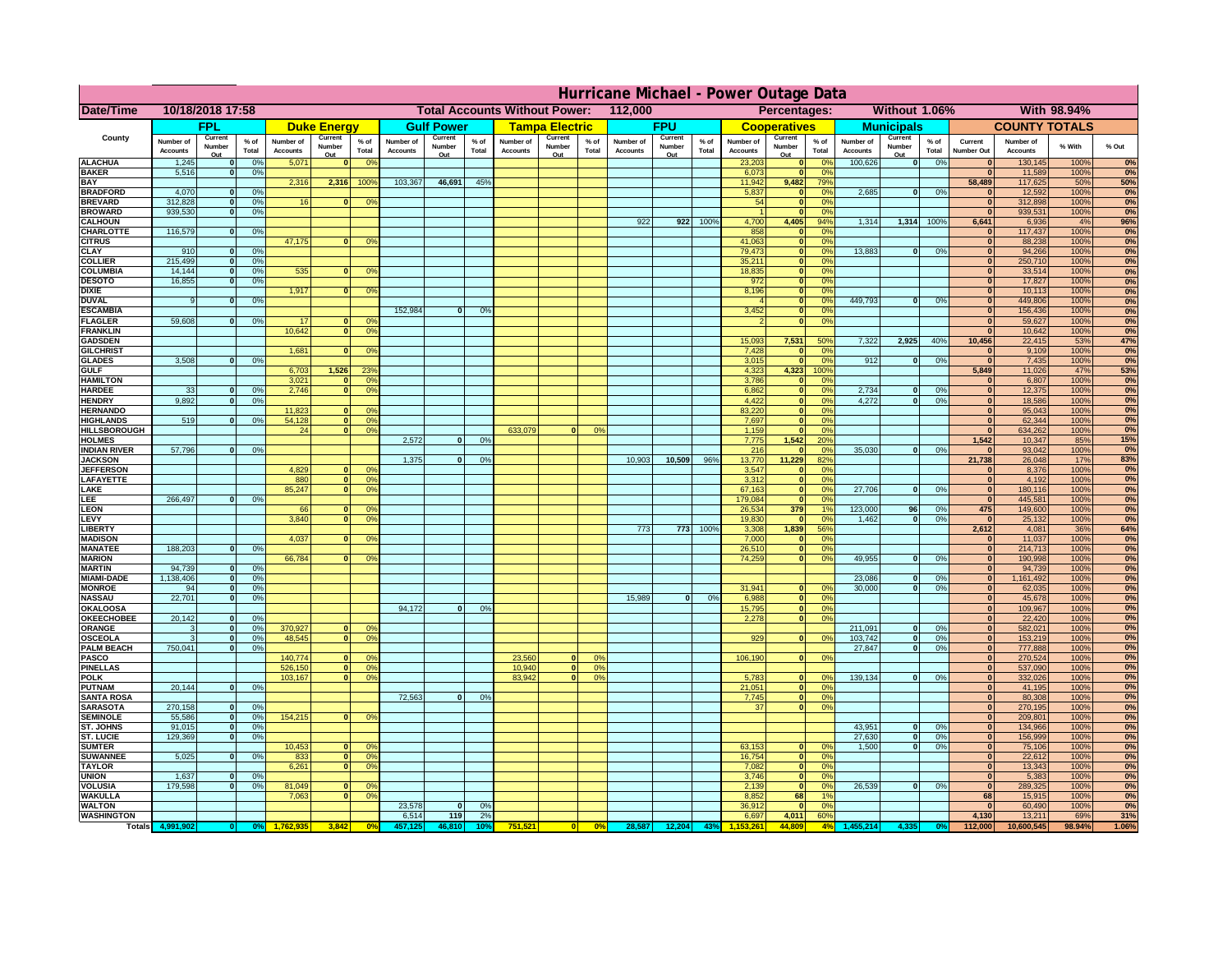|                                      | Hurricane Michael - Power Outage Data |                             |                    |                              |                     |                                                  |                              |                   |                |                              |                       |                                              |                       |                   |                 |                              |                     |                       |                              |                         |                 |                              |                              |              |           |
|--------------------------------------|---------------------------------------|-----------------------------|--------------------|------------------------------|---------------------|--------------------------------------------------|------------------------------|-------------------|----------------|------------------------------|-----------------------|----------------------------------------------|-----------------------|-------------------|-----------------|------------------------------|---------------------|-----------------------|------------------------------|-------------------------|-----------------|------------------------------|------------------------------|--------------|-----------|
| Date/Time                            | 10/18/2018 17:58                      |                             |                    |                              |                     | <b>Total Accounts Without Power:</b><br>112,000  |                              |                   |                |                              |                       | Without 1.06%<br>With 98.94%<br>Percentages: |                       |                   |                 |                              |                     |                       |                              |                         |                 |                              |                              |              |           |
|                                      |                                       | FPL                         |                    |                              | <b>Duke Energy</b>  |                                                  |                              | <b>Gulf Power</b> |                |                              | <b>Tampa Electric</b> |                                              |                       | <b>FPU</b>        |                 |                              | <b>Cooperatives</b> |                       |                              | <b>Municipals</b>       |                 |                              | <b>COUNTY TOTALS</b>         |              |           |
| County                               | Number of<br><b>Accounts</b>          | Current<br>Number           | $%$ of<br>Total    | Number of<br><b>Accounts</b> | Current<br>Number   | $%$ of<br>Total                                  | Number of<br><b>Accounts</b> | Current<br>Number | % of<br>Total  | Number of<br><b>Accounts</b> | Current<br>Number     | $%$ of<br>Total                              | Number of<br>Accounts | Current<br>Number | $%$ of<br>Total | Number of<br><b>Accounts</b> | Current<br>Number   | $%$ of<br>Total       | Number of<br><b>Accounts</b> | Current<br>Number       | $%$ of<br>Total | Current<br><b>Number Out</b> | Number of<br><b>Accounts</b> | % With       | % Out     |
| <b>ALACHUA</b>                       | 1,245                                 | Out<br>$\mathbf{0}$         | 0%                 | 5,071                        | Out<br>$\mathbf{0}$ | 0 <sup>9</sup>                                   |                              | Out               |                |                              | Out                   |                                              |                       | Out               |                 | 23,203                       | Out<br> 0           | 0 <sup>9</sup>        | 100,626                      | Out<br> 0               | 0%              | $\bf{0}$                     | 130,145                      | 100%         | 0%        |
| <b>BAKER</b>                         | 5,516                                 | 0                           | 0%                 |                              |                     |                                                  |                              |                   |                |                              |                       |                                              |                       |                   |                 | 6,073                        | 0                   | 0%                    |                              |                         |                 | $\bf{0}$                     | 11,589                       | 100%         | 0%        |
| <b>BAY</b><br><b>BRADFORD</b>        | 4,070                                 | $\mathbf{0}$                | 0%                 | 2,316                        | 2,316               | 100%                                             | 103,367                      | 46,691            | 45%            |                              |                       |                                              |                       |                   |                 | 11,942<br>5,837              | 9,482<br> 0         | 79%<br>0%             | 2,685                        | 0                       | 0%              | 58,489<br>$\bf{0}$           | 117,625<br>12,592            | 50%<br>100%  | 50%<br>0% |
| <b>BREVARD</b>                       | 312,828                               | 0                           | 0%                 | 16                           | $\mathbf{0}$        | 0 <sup>o</sup>                                   |                              |                   |                |                              |                       |                                              |                       |                   |                 | 54                           | 0                   | 0%                    |                              |                         |                 | $\mathbf{0}$                 | 312,898                      | 100%         | 0%        |
| <b>BROWARD</b>                       | 939.530                               | 0                           | 0%                 |                              |                     |                                                  |                              |                   |                |                              |                       |                                              |                       |                   |                 |                              | 0                   | 0%                    |                              |                         |                 | $\bf{0}$                     | 939,531                      | 100%         | 0%        |
| <b>CALHOUN</b><br>CHARLOTTE          | 116,579                               | 0                           | 0%                 |                              |                     |                                                  |                              |                   |                |                              |                       |                                              | 922                   | 922               | 100%            | 4,700<br>858                 | 4,405<br> 0         | 94%<br>0 <sup>9</sup> | 1,314                        |                         | 1,314 100%      | 6,641<br>$\bf{0}$            | 6,936<br>117,437             | 4%<br>100%   | 96%<br>0% |
| <b>CITRUS</b>                        |                                       |                             |                    | 47,175                       | $\mathbf{0}$        | 0 <sup>o</sup>                                   |                              |                   |                |                              |                       |                                              |                       |                   |                 | 41,063                       | 0                   | 0 <sup>9</sup>        |                              |                         |                 | $\bf{0}$                     | 88,238                       | 100%         | 0%        |
| <b>CLAY</b>                          | 910                                   | $\mathbf{0}$                | 0%                 |                              |                     |                                                  |                              |                   |                |                              |                       |                                              |                       |                   |                 | 79,473                       | 0                   | 0%                    | 13,883                       | 0                       | 0%              | $\bf{0}$                     | 94,266                       | 100%         | 0%        |
| <b>COLLIER</b>                       | 215,499                               | $\mathbf{0}$                | 0 <sup>9</sup>     | 535                          |                     |                                                  |                              |                   |                |                              |                       |                                              |                       |                   |                 | 35,211                       | 0                   | 0%<br>0%              |                              |                         |                 | $\bf{0}$<br>$\bf{0}$         | 250,710                      | 100%         | 0%        |
| <b>COLUMBIA</b><br><b>DESOTO</b>     | 14,144<br>16,855                      | $\mathbf 0$<br>$\mathbf{0}$ | 0%<br>0%           |                              | $\mathbf{0}$        | 0 <sup>9</sup>                                   |                              |                   |                |                              |                       |                                              |                       |                   |                 | 18,835<br>972                | 0 <br> 0            | 0%                    |                              |                         |                 | $\bf{0}$                     | 33,514<br>17,827             | 100%<br>100% | 0%<br>0%  |
| <b>DIXIE</b>                         |                                       |                             |                    | 1,917                        | $\Omega$            | 0 <sup>9</sup>                                   |                              |                   |                |                              |                       |                                              |                       |                   |                 | 8,196                        | 0                   | 0%                    |                              |                         |                 | $\Omega$                     | 10,113                       | 100%         | 0%        |
| <b>DUVAL</b>                         | 9                                     | $\Omega$                    | 0%                 |                              |                     |                                                  |                              |                   |                |                              |                       |                                              |                       |                   |                 |                              | 0                   | 0%                    | 449.793                      | $\overline{\mathbf{0}}$ | 0%              | $\Omega$                     | 449,806                      | 100%         | 0%        |
| <b>ESCAMBIA</b>                      | 59,608                                |                             |                    | 17                           |                     |                                                  | 152,984                      | $\mathbf{0}$      | 0 <sup>o</sup> |                              |                       |                                              |                       |                   |                 | 3,452                        | 0                   | 0%<br>0%              |                              |                         |                 | $\Omega$<br>$\bf{0}$         | 156,436                      | 100%         | 0%        |
| <b>FLAGLER</b><br><b>FRANKLIN</b>    |                                       | $\overline{0}$              | 0%                 | 10,642                       | $\bf{0}$<br> 0      | 0 <sup>o</sup><br>0 <sup>9</sup>                 |                              |                   |                |                              |                       |                                              |                       |                   |                 |                              | 0                   |                       |                              |                         |                 | $\Omega$                     | 59,627<br>10,642             | 100%<br>100% | 0%<br>0%  |
| <b>GADSDEN</b>                       |                                       |                             |                    |                              |                     |                                                  |                              |                   |                |                              |                       |                                              |                       |                   |                 | 15,093                       | 7,531               | 50%                   | 7,322                        | 2,925                   | 40%             | 10,456                       | 22,415                       | 53%          | 47%       |
| <b>GILCHRIST</b>                     |                                       |                             |                    | 1,681                        | $\mathbf{0}$        | 0 <sup>9</sup>                                   |                              |                   |                |                              |                       |                                              |                       |                   |                 | 7,428                        | 0                   | 0%                    |                              |                         |                 | $\mathbf{0}$                 | 9,109                        | 100%         | 0%        |
| <b>GLADES</b><br><b>GULF</b>         | 3,508                                 | 0                           | 0%                 |                              |                     | 23 <sup>9</sup>                                  |                              |                   |                |                              |                       |                                              |                       |                   |                 | 3,015                        | 0 <br>4,323         | 0%<br>100%            | 912                          | $\overline{0}$          | 0%              | 0 <br>5,849                  | 7,435                        | 100%<br>47%  | 0%        |
| <b>HAMILTON</b>                      |                                       |                             |                    | 6,703<br>3,021               | 1,526<br>$\Omega$   | 0 <sup>9</sup>                                   |                              |                   |                |                              |                       |                                              |                       |                   |                 | 4,323<br>3,786               | 0                   | 0%                    |                              |                         |                 | $\Omega$                     | 11,026<br>6,807              | 100%         | 53%<br>0% |
| <b>HARDEE</b>                        | 33                                    | $\mathbf{0}$                | 0%                 | 2.746                        |                     | $\overline{0}$<br>0 <sup>9</sup>                 |                              |                   |                |                              |                       |                                              |                       |                   |                 | 6.862                        | $\overline{0}$      | 0%                    | 2.734                        | $\mathbf{0}$            | 0%              | 0                            | 12,375                       | 100%         | 0%        |
| <b>HENDRY</b>                        | 9,892                                 | $\Omega$                    | 0%                 |                              |                     |                                                  |                              |                   |                |                              |                       |                                              |                       |                   |                 | 4,422                        | 0                   | 0%                    | 4,272                        | $\Omega$                | 0%              | $\Omega$                     | 18,586                       | 100%         | 0%        |
| <b>HERNANDO</b><br><b>HIGHLANDS</b>  | 519                                   | $\mathbf{0}$                |                    | 11,823<br>54,128             | $\mathbf{0}$        | 0 <sup>9</sup><br> 0 <br>0 <sup>9</sup>          |                              |                   |                |                              |                       |                                              |                       |                   |                 | 83,220<br>7,697              | 0 <br> 0            | 0%<br>0%              |                              |                         |                 | 0 <br>$\mathbf{0}$           | 95,043<br>62,344             | 100%<br>100% | 0%<br>0%  |
| <b>HILLSBOROUGH</b>                  |                                       |                             | 0 <sup>9</sup>     | 24                           |                     | $\overline{0}$<br>0 <sup>9</sup>                 |                              |                   |                | 633,079                      |                       | 0%                                           |                       |                   |                 | 1,159                        | $\mathbf{0}$        | 0%                    |                              |                         |                 | $\mathbf{0}$                 | 634,262                      | 100%         | 0%        |
| <b>HOLMES</b>                        |                                       |                             |                    |                              |                     |                                                  | 2.572                        | $\mathbf{0}$      | 0%             |                              |                       |                                              |                       |                   |                 | 7.775                        | 1,542               | 20%                   |                              |                         |                 | 1,542                        | 10,347                       | 85%          | 15%       |
| <b>INDIAN RIVER</b>                  | 57,796                                | $\mathbf{0}$                | 0%                 |                              |                     |                                                  |                              |                   |                |                              |                       |                                              |                       |                   |                 | 216                          | $\mathbf{0}$        | 0%                    | 35,030                       | $\mathbf{0}$            | 0%              | $\mathbf{0}$                 | 93,042                       | 100%         | 0%        |
| <b>JACKSON</b><br><b>JEFFERSON</b>   |                                       |                             |                    | 4.829                        |                     | n l<br>0 <sup>9</sup>                            | 1.375                        | $\mathbf{0}$      | 0%             |                              |                       |                                              | 10,903                | 10.509            | 96%             | 13,770<br>3.547              | 11.229<br> 0        | 82%<br>0%             |                              |                         |                 | 21.738<br>$\mathbf{0}$       | 26,048<br>8.376              | 17%<br>100%  | 83%<br>0% |
| LAFAYETTE                            |                                       |                             |                    | 880                          |                     | 0 <br>0 <sup>9</sup>                             |                              |                   |                |                              |                       |                                              |                       |                   |                 | 3.312                        | 0                   | 0%                    |                              |                         |                 | 0                            | 4.192                        | 100%         | 0%        |
| LAKE                                 |                                       |                             |                    | 85,247                       |                     | $\mathbf{0}$<br>0 <sup>9</sup>                   |                              |                   |                |                              |                       |                                              |                       |                   |                 | 67,163                       | 0                   | 0%                    | 27,706                       | $\Omega$                | 0%              | 0                            | 180,116                      | 100%         | 0%        |
| EE.                                  | 266,497                               | 0                           | 0%                 |                              |                     |                                                  |                              |                   |                |                              |                       |                                              |                       |                   |                 | 179,084                      | 0                   | 0%                    |                              |                         |                 | 0                            | 445,581                      | 100%         | 0%        |
| <b>LEON</b><br>LEVY                  |                                       |                             |                    | 66<br>3,840                  | $\Omega$            | $\mathbf{0}$<br>0 <sup>o</sup><br>0 <sup>9</sup> |                              |                   |                |                              |                       |                                              |                       |                   |                 | 26,534<br>19,830             | 379<br> 0           | 1%<br>0%              | 123,000<br>1,462             | 96<br>$\mathbf{0}$      | 0%<br>0%        | 475<br> 0                    | 149,600<br>25,132            | 100%<br>100% | 0%<br>0%  |
| LIBERTY                              |                                       |                             |                    |                              |                     |                                                  |                              |                   |                |                              |                       |                                              | 773                   | 773               | 100%            | 3,308                        | 1,839               | 56%                   |                              |                         |                 | 2,612                        | 4,081                        | 36%          | 64%       |
| <b>MADISON</b>                       |                                       |                             |                    | 4,037                        | $\Omega$            | 0 <sup>9</sup>                                   |                              |                   |                |                              |                       |                                              |                       |                   |                 | 7,000                        | 0                   | 0 <sup>9</sup>        |                              |                         |                 | 0                            | 11,037                       | 100%         | 0%        |
| <b>MANATEE</b>                       | 188,203                               |                             | $\mathbf{0}$<br>0% |                              |                     |                                                  |                              |                   |                |                              |                       |                                              |                       |                   |                 | 26,510                       | 0                   | 0%                    |                              |                         |                 | 0                            | 214,713                      | 100%         | 0%        |
| <b>MARION</b><br><b>MARTIN</b>       | 94,739                                | 0                           | 0%                 | 66,784                       |                     | 0 <sup>9</sup><br>0                              |                              |                   |                |                              |                       |                                              |                       |                   |                 | 74,259                       | 0                   | 0%                    | 49,955                       | nl                      | 0%              | 0 <br> 0                     | 190,998<br>94,739            | 100%<br>100% | 0%<br>0%  |
| <b>MIAMI-DADE</b>                    | 1,138,406                             | 0                           | 0%                 |                              |                     |                                                  |                              |                   |                |                              |                       |                                              |                       |                   |                 |                              |                     |                       | 23,086                       | $\mathbf{0}$            | 0%              | 0                            | 1,161,492                    | 100%         | 0%        |
| <b>MONROE</b>                        | 94                                    | 0                           | 0%                 |                              |                     |                                                  |                              |                   |                |                              |                       |                                              |                       |                   |                 | 31,941                       | $\overline{0}$      | 0 <sup>9</sup>        | 30,000                       | 0                       | 0%              | 0                            | 62,035                       | 100%         | 0%        |
| <b>NASSAU</b>                        | 22,701                                | 0                           | 0%                 |                              |                     |                                                  |                              |                   |                |                              |                       |                                              | 15,989                | 0                 | 0%              | 6,988                        | 0                   | 0%                    |                              |                         |                 | 0                            | 45,678                       | 100%         | 0%        |
| <b>OKALOOSA</b><br><b>OKEECHOBEE</b> | 20,142                                | 0                           | 0%                 |                              |                     |                                                  | 94,172                       | $\Omega$          | 0%             |                              |                       |                                              |                       |                   |                 | 15,795<br>2,278              | 0                   | 0%<br> 0 <br>0%       |                              |                         |                 | 0 <br> 0                     | 109,967<br>22,420            | 100%<br>100% | 0%<br>0%  |
| ORANGE                               | 3                                     | 0                           | 0%                 | 370,927                      |                     | 0 <br>0 <sup>o</sup>                             |                              |                   |                |                              |                       |                                              |                       |                   |                 |                              |                     |                       | 211,091                      | $\mathbf{0}$            | 0%              | 0                            | 582,021                      | 100%         | 0%        |
| <b>OSCEOLA</b>                       | 3                                     | 0                           | 0%                 | 48,545                       |                     | 0 <sup>9</sup><br> 0                             |                              |                   |                |                              |                       |                                              |                       |                   |                 | 929                          |                     | 0 <br>0%              | 103,742                      | 0                       | 0%              | 0                            | 153,219                      | 100%         | 0%        |
| <b>PALM BEACH</b>                    | 750,041                               |                             | 0%<br> 0           |                              |                     |                                                  |                              |                   |                |                              |                       |                                              |                       |                   |                 |                              |                     |                       | 27,847                       | $\overline{\mathbf{0}}$ | 0%              | 0                            | 777,888                      | 100%         | 0%        |
| PASCO<br><b>PINELLAS</b>             |                                       |                             |                    | 140,774<br>526,150           |                     | $\Omega$<br>$^{\circ}$<br>0 <sup>9</sup><br> 0   |                              |                   |                | 23,560<br>10,940             | $\Omega$<br> 0        | $^{\circ}$<br>0%                             |                       |                   |                 | 106,190                      |                     | 0 <br>0%              |                              |                         |                 | 0 <br>$\Omega$               | 270,524<br>537,090           | 100%<br>100% | 0%<br>0%  |
| <b>POLK</b>                          |                                       |                             |                    | 103,167                      |                     | 0 <sup>9</sup><br> 0                             |                              |                   |                | 83,942                       | $\mathbf{a}$          | 0%                                           |                       |                   |                 | 5,783                        | 0                   | $\Omega$              | 139,134                      | 0                       | 0%              | 0                            | 332,026                      | 100%         | 0%        |
| <b>PUTNAM</b>                        | 20,144                                | 0                           | 0%                 |                              |                     |                                                  |                              |                   |                |                              |                       |                                              |                       |                   |                 | 21,051                       | 0                   | 0%                    |                              |                         |                 | $\bf{0}$                     | 41,195                       | 100%         | 0%        |
| <b>SANTA ROSA</b>                    |                                       |                             |                    |                              |                     |                                                  | 72,563                       | 0                 | 0%             |                              |                       |                                              |                       |                   |                 | 7,745                        | 0                   | 0%<br>0%              |                              |                         |                 | $\mathbf{0}$<br>$\mathbf{0}$ | 80,308                       | 100%         | 0%        |
| <b>SARASOTA</b><br><b>SEMINOLE</b>   | 270,158<br>55,586                     | 0 <br> 0                    | 0%<br>0%           | 154,215                      |                     | $\mathbf{0}$<br>0 <sup>9</sup>                   |                              |                   |                |                              |                       |                                              |                       |                   |                 | 37                           |                     | 0                     |                              |                         |                 | $\mathbf{0}$                 | 270,195<br>209,801           | 100%<br>100% | 0%<br>0%  |
| <b>ST. JOHNS</b>                     | 91,015                                | 0                           | 0%                 |                              |                     |                                                  |                              |                   |                |                              |                       |                                              |                       |                   |                 |                              |                     |                       | 43,951                       | -ol                     | 0%              | 0                            | 134,966                      | 100%         | 0%        |
| <b>ST. LUCIE</b>                     | 129.369                               | $\overline{0}$              | 0%                 |                              |                     |                                                  |                              |                   |                |                              |                       |                                              |                       |                   |                 |                              |                     |                       | 27.630                       | - O I                   | 0%              | 0                            | 156,999                      | 100%         | 0%        |
| <b>SUMTER</b>                        |                                       |                             |                    | 10,453                       |                     | 0 <br>0 <sup>9</sup>                             |                              |                   |                |                              |                       |                                              |                       |                   |                 | 63,153                       | 0                   | 0%                    | 1.500                        | 0                       | 0%              | 0                            | 75,106                       | 100%         | 0%        |
| <b>SUWANNEE</b><br><b>TAYLOR</b>     | 5,025                                 | 0                           | 0%                 | 833<br>6,261                 | 0                   | 0 <sup>o</sup><br> 0 <br>0 <sup>9</sup>          |                              |                   |                |                              |                       |                                              |                       |                   |                 | 16,754<br>7,082              | 0 <br> 0            | 0%<br>0%              |                              |                         |                 | $\mathbf{0}$<br>$\bf{0}$     | 22,612<br>13,343             | 100%<br>100% | 0%<br>0%  |
| <b>UNION</b>                         | 1,637                                 | $\mathbf{0}$                | 0%                 |                              |                     |                                                  |                              |                   |                |                              |                       |                                              |                       |                   |                 | 3,746                        | 0                   | 0%                    |                              |                         |                 | $\bf{0}$                     | 5,383                        | 100%         | 0%        |
| <b>VOLUSIA</b>                       | 179,598                               | 0                           | 0%                 | 81,049                       | $\mathbf{0}$        | $\mathbf{0}$                                     |                              |                   |                |                              |                       |                                              |                       |                   |                 | 2,139                        | 0                   | 0%                    | 26,539                       | 0                       | 0%              | $\mathbf{0}$                 | 289,325                      | 100%         | 0%        |
| <b>WAKULLA</b><br><b>WALTON</b>      |                                       |                             |                    | 7,063                        | $\mathbf{0}$        | 0 <sup>9</sup>                                   | 23,578                       |                   | 0%             |                              |                       |                                              |                       |                   |                 | 8,852<br>36,912              | 68<br> 0            | 1%<br>0%              |                              |                         |                 | 68<br>$\mathbf{0}$           | 15,915<br>60,490             | 100%<br>100% | 0%<br>0%  |
| <b>WASHINGTON</b>                    |                                       |                             |                    |                              |                     |                                                  | 6,514                        | 0 <br>119         | 2%             |                              |                       |                                              |                       |                   |                 | 6,697                        | 4,011               | 60%                   |                              |                         |                 | 4,130                        | 13,211                       | 69%          | 31%       |
| <b>Totals</b>                        |                                       |                             |                    |                              | 3,842               | 0 <sup>6</sup>                                   |                              | 46.810            | 10٬            | 751,521                      | 0                     | $\frac{1}{2}$                                |                       | 28,587 12,204     | 43%             |                              | 44.809              | 4%                    | 155,214                      |                         |                 | 112,000                      | 10,600,545                   | 98.94%       | 1.06%     |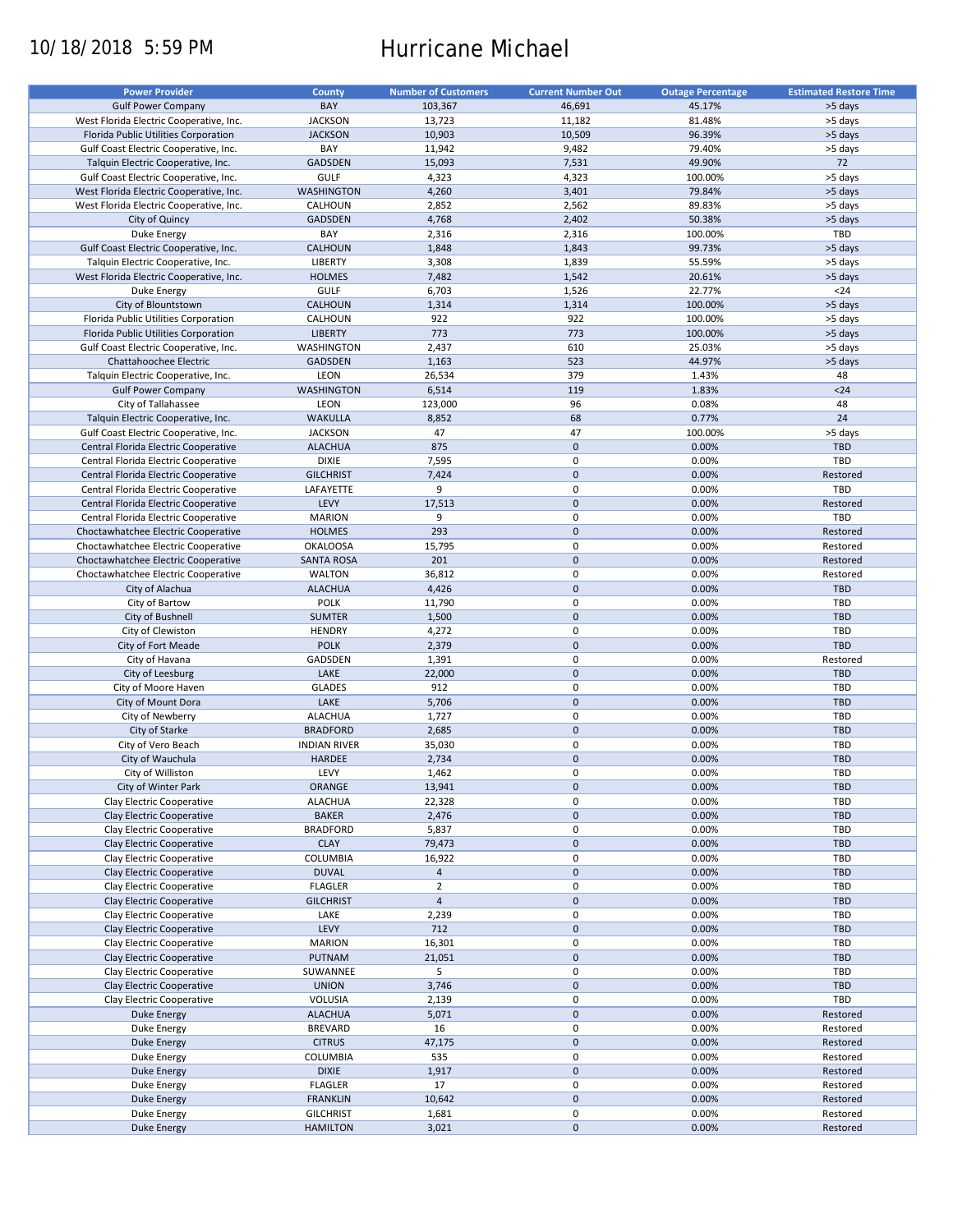# 10/18/2018 5:59 PM Hurricane Michael

| <b>Power Provider</b>                   | <b>County</b>       | <b>Number of Customers</b> | <b>Current Number Out</b> | <b>Outage Percentage</b> | <b>Estimated Restore Time</b> |
|-----------------------------------------|---------------------|----------------------------|---------------------------|--------------------------|-------------------------------|
|                                         | BAY                 |                            |                           |                          |                               |
| <b>Gulf Power Company</b>               |                     | 103,367                    | 46,691                    | 45.17%                   | >5 days                       |
| West Florida Electric Cooperative, Inc. | <b>JACKSON</b>      | 13,723                     | 11,182                    | 81.48%                   | >5 days                       |
| Florida Public Utilities Corporation    | <b>JACKSON</b>      | 10,903                     | 10,509                    | 96.39%                   | >5 days                       |
| Gulf Coast Electric Cooperative, Inc.   | BAY                 | 11,942                     | 9,482                     | 79.40%                   | >5 days                       |
| Talquin Electric Cooperative, Inc.      | GADSDEN             | 15,093                     | 7,531                     | 49.90%                   | 72                            |
| Gulf Coast Electric Cooperative, Inc.   | <b>GULF</b>         | 4,323                      | 4,323                     | 100.00%                  | >5 days                       |
| West Florida Electric Cooperative, Inc. | WASHINGTON          | 4,260                      | 3,401                     | 79.84%                   | >5 days                       |
| West Florida Electric Cooperative, Inc. | CALHOUN             | 2,852                      | 2,562                     | 89.83%                   | >5 days                       |
| City of Quincy                          | <b>GADSDEN</b>      | 4,768                      | 2,402                     | 50.38%                   | >5 days                       |
| Duke Energy                             | BAY                 | 2,316                      | 2,316                     | 100.00%                  | TBD                           |
| Gulf Coast Electric Cooperative, Inc.   | <b>CALHOUN</b>      |                            | 1,843                     | 99.73%                   | >5 days                       |
|                                         |                     | 1,848                      |                           |                          |                               |
| Talquin Electric Cooperative, Inc.      | <b>LIBERTY</b>      | 3,308                      | 1,839                     | 55.59%                   | >5 days                       |
| West Florida Electric Cooperative, Inc. | <b>HOLMES</b>       | 7,482                      | 1,542                     | 20.61%                   | >5 days                       |
| Duke Energy                             | <b>GULF</b>         | 6,703                      | 1,526                     | 22.77%                   | $24$                          |
| City of Blountstown                     | <b>CALHOUN</b>      | 1,314                      | 1,314                     | 100.00%                  | >5 days                       |
| Florida Public Utilities Corporation    | CALHOUN             | 922                        | 922                       | 100.00%                  | >5 days                       |
| Florida Public Utilities Corporation    | <b>LIBERTY</b>      | 773                        | 773                       | 100.00%                  | >5 days                       |
| Gulf Coast Electric Cooperative, Inc.   | WASHINGTON          | 2,437                      | 610                       | 25.03%                   | >5 days                       |
| Chattahoochee Electric                  | <b>GADSDEN</b>      | 1,163                      | 523                       | 44.97%                   | >5 days                       |
| Talquin Electric Cooperative, Inc.      | LEON                | 26,534                     | 379                       | 1.43%                    | 48                            |
|                                         |                     |                            |                           |                          |                               |
| <b>Gulf Power Company</b>               | <b>WASHINGTON</b>   | 6,514                      | 119                       | 1.83%                    | $24$                          |
| City of Tallahassee                     | LEON                | 123,000                    | 96                        | 0.08%                    | 48                            |
| Talquin Electric Cooperative, Inc.      | <b>WAKULLA</b>      | 8,852                      | 68                        | 0.77%                    | 24                            |
| Gulf Coast Electric Cooperative, Inc.   | <b>JACKSON</b>      | 47                         | 47                        | 100.00%                  | >5 days                       |
| Central Florida Electric Cooperative    | <b>ALACHUA</b>      | 875                        | $\mathsf{O}\xspace$       | 0.00%                    | <b>TBD</b>                    |
| Central Florida Electric Cooperative    | <b>DIXIE</b>        | 7,595                      | 0                         | 0.00%                    | TBD                           |
| Central Florida Electric Cooperative    | <b>GILCHRIST</b>    | 7,424                      | $\mathbf 0$               | 0.00%                    | Restored                      |
| Central Florida Electric Cooperative    | LAFAYETTE           | 9                          | 0                         | 0.00%                    | TBD                           |
|                                         |                     |                            |                           |                          |                               |
| Central Florida Electric Cooperative    | LEVY                | 17,513                     | $\mathbf 0$               | 0.00%                    | Restored                      |
| Central Florida Electric Cooperative    | <b>MARION</b>       | 9                          | 0                         | 0.00%                    | TBD                           |
| Choctawhatchee Electric Cooperative     | <b>HOLMES</b>       | 293                        | $\mathbf 0$               | 0.00%                    | Restored                      |
| Choctawhatchee Electric Cooperative     | <b>OKALOOSA</b>     | 15,795                     | 0                         | 0.00%                    | Restored                      |
| Choctawhatchee Electric Cooperative     | <b>SANTA ROSA</b>   | 201                        | $\mathbf 0$               | 0.00%                    | Restored                      |
| Choctawhatchee Electric Cooperative     | <b>WALTON</b>       | 36,812                     | 0                         | 0.00%                    | Restored                      |
| City of Alachua                         | <b>ALACHUA</b>      | 4,426                      | $\mathbf 0$               | 0.00%                    | <b>TBD</b>                    |
| City of Bartow                          | POLK                | 11,790                     | 0                         | 0.00%                    | TBD                           |
| City of Bushnell                        | <b>SUMTER</b>       | 1,500                      | $\mathbf 0$               | 0.00%                    | <b>TBD</b>                    |
|                                         | <b>HENDRY</b>       |                            | $\pmb{0}$                 | 0.00%                    | TBD                           |
| City of Clewiston                       |                     | 4,272                      |                           |                          |                               |
| City of Fort Meade                      | <b>POLK</b>         | 2,379                      | $\mathbf 0$               | 0.00%                    | <b>TBD</b>                    |
| City of Havana                          | GADSDEN             | 1,391                      | 0                         | 0.00%                    | Restored                      |
| City of Leesburg                        | LAKE                | 22,000                     | $\mathbf 0$               | 0.00%                    | <b>TBD</b>                    |
| City of Moore Haven                     | <b>GLADES</b>       | 912                        | $\pmb{0}$                 | 0.00%                    | TBD                           |
| City of Mount Dora                      | LAKE                | 5,706                      | $\mathbf 0$               | 0.00%                    | <b>TBD</b>                    |
| City of Newberry                        | <b>ALACHUA</b>      | 1,727                      | 0                         | 0.00%                    | TBD                           |
| City of Starke                          | <b>BRADFORD</b>     | 2,685                      | $\mathbf 0$               | 0.00%                    | <b>TBD</b>                    |
| City of Vero Beach                      | <b>INDIAN RIVER</b> | 35,030                     | 0                         | 0.00%                    | <b>TBD</b>                    |
| City of Wauchula                        | HARDEE              | 2,734                      | $\mathbf 0$               | 0.00%                    | <b>TBD</b>                    |
|                                         |                     |                            |                           |                          |                               |
| City of Williston                       | LEVY                | 1,462                      | $\mathbf 0$               | 0.00%                    | TBD                           |
| City of Winter Park                     | <b>ORANGE</b>       | 13,941                     | $\pmb{0}$                 | 0.00%                    | TBD                           |
| Clay Electric Cooperative               | <b>ALACHUA</b>      | 22,328                     | 0                         | 0.00%                    | TBD                           |
| Clay Electric Cooperative               | <b>BAKER</b>        | 2,476                      | $\pmb{0}$                 | 0.00%                    | <b>TBD</b>                    |
| Clay Electric Cooperative               | <b>BRADFORD</b>     | 5,837                      | 0                         | 0.00%                    | TBD                           |
| Clay Electric Cooperative               | <b>CLAY</b>         | 79,473                     | $\mathsf{O}\xspace$       | 0.00%                    | TBD                           |
| Clay Electric Cooperative               | COLUMBIA            | 16,922                     | 0                         | 0.00%                    | TBD                           |
| Clay Electric Cooperative               | <b>DUVAL</b>        | $\overline{4}$             | $\mathsf{O}\xspace$       | 0.00%                    | TBD                           |
| Clay Electric Cooperative               | <b>FLAGLER</b>      | $\overline{2}$             | 0                         | 0.00%                    | TBD                           |
|                                         |                     | $\overline{4}$             |                           |                          | <b>TBD</b>                    |
| Clay Electric Cooperative               | <b>GILCHRIST</b>    |                            | $\mathsf{O}\xspace$       | 0.00%                    |                               |
| Clay Electric Cooperative               | LAKE                | 2,239                      | 0                         | 0.00%                    | TBD                           |
| Clay Electric Cooperative               | LEVY                | 712                        | $\pmb{0}$                 | 0.00%                    | <b>TBD</b>                    |
| Clay Electric Cooperative               | <b>MARION</b>       | 16,301                     | 0                         | 0.00%                    | TBD                           |
| Clay Electric Cooperative               | PUTNAM              | 21,051                     | $\pmb{0}$                 | 0.00%                    | <b>TBD</b>                    |
| Clay Electric Cooperative               | SUWANNEE            | 5                          | $\pmb{0}$                 | 0.00%                    | TBD                           |
| Clay Electric Cooperative               | <b>UNION</b>        | 3,746                      | $\pmb{0}$                 | 0.00%                    | <b>TBD</b>                    |
| Clay Electric Cooperative               | VOLUSIA             | 2,139                      | 0                         | 0.00%                    | TBD                           |
|                                         | <b>ALACHUA</b>      |                            | $\pmb{0}$                 | 0.00%                    |                               |
| <b>Duke Energy</b>                      |                     | 5,071                      |                           |                          | Restored                      |
| Duke Energy                             | <b>BREVARD</b>      | 16                         | $\pmb{0}$                 | 0.00%                    | Restored                      |
| Duke Energy                             | <b>CITRUS</b>       | 47,175                     | $\pmb{0}$                 | 0.00%                    | Restored                      |
| Duke Energy                             | COLUMBIA            | 535                        | $\pmb{0}$                 | 0.00%                    | Restored                      |
| <b>Duke Energy</b>                      | <b>DIXIE</b>        | 1,917                      | $\mathsf{O}\xspace$       | 0.00%                    | Restored                      |
| Duke Energy                             | <b>FLAGLER</b>      | 17                         | 0                         | 0.00%                    | Restored                      |
| <b>Duke Energy</b>                      | <b>FRANKLIN</b>     | 10,642                     | $\pmb{0}$                 | 0.00%                    | Restored                      |
| Duke Energy                             | <b>GILCHRIST</b>    | 1,681                      | 0                         | 0.00%                    | Restored                      |
| <b>Duke Energy</b>                      | <b>HAMILTON</b>     | 3,021                      | $\pmb{0}$                 | 0.00%                    | Restored                      |
|                                         |                     |                            |                           |                          |                               |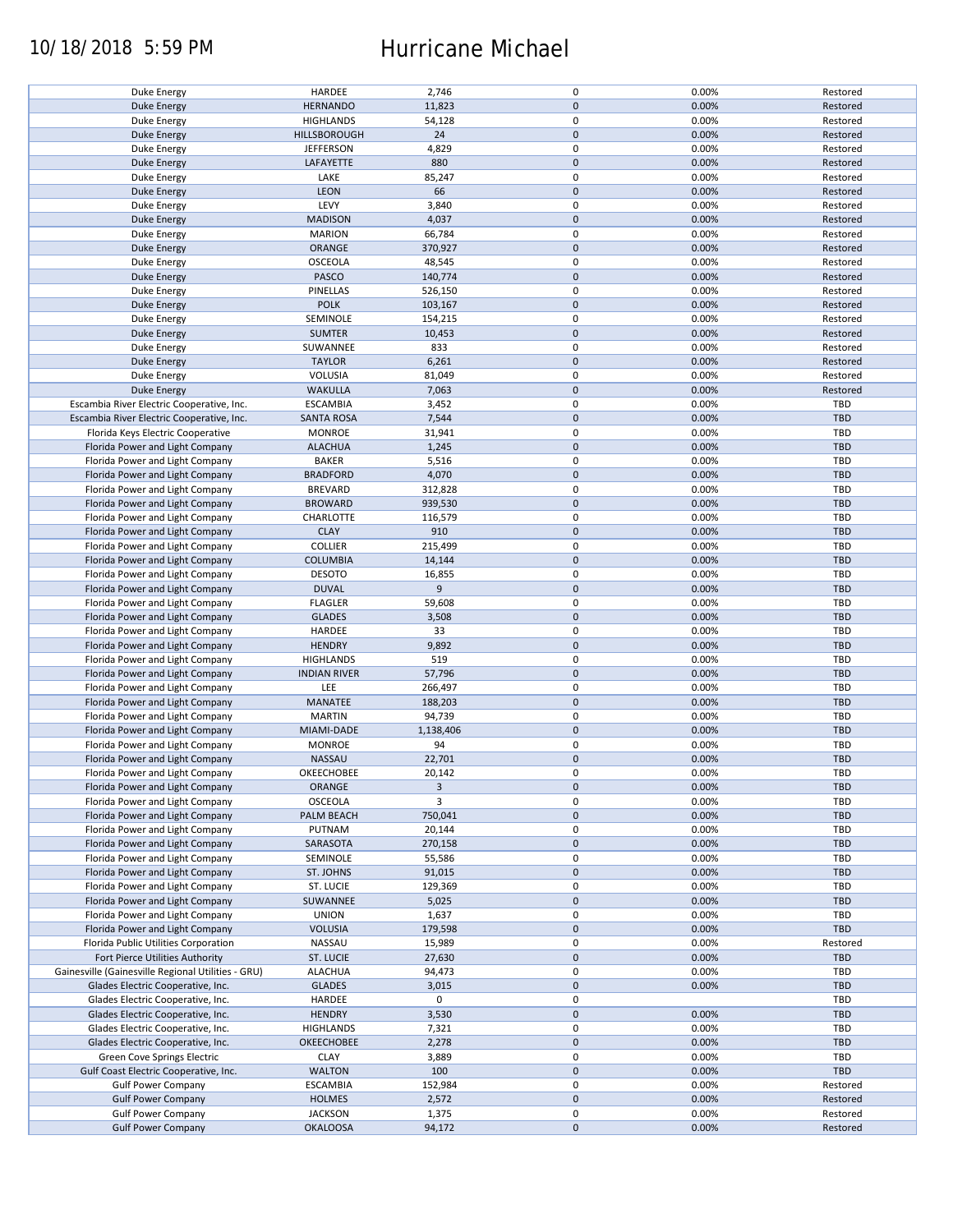### 10/18/2018 5:59 PM Hurricane Michael

| Duke Energy                                        | HARDEE              | 2,746     | 0           | 0.00% | Restored   |
|----------------------------------------------------|---------------------|-----------|-------------|-------|------------|
| <b>Duke Energy</b>                                 | <b>HERNANDO</b>     | 11,823    | $\pmb{0}$   | 0.00% | Restored   |
| Duke Energy                                        | <b>HIGHLANDS</b>    | 54,128    | 0           | 0.00% | Restored   |
|                                                    |                     |           | $\pmb{0}$   |       |            |
| <b>Duke Energy</b>                                 | HILLSBOROUGH        | 24        |             | 0.00% | Restored   |
| Duke Energy                                        | <b>JEFFERSON</b>    | 4,829     | 0           | 0.00% | Restored   |
| Duke Energy                                        | LAFAYETTE           | 880       | $\mathbf 0$ | 0.00% | Restored   |
|                                                    |                     |           |             |       |            |
| Duke Energy                                        | LAKE                | 85,247    | 0           | 0.00% | Restored   |
| Duke Energy                                        | <b>LEON</b>         | 66        | $\pmb{0}$   | 0.00% | Restored   |
| Duke Energy                                        | LEVY                | 3,840     | 0           | 0.00% | Restored   |
|                                                    |                     |           |             |       |            |
| <b>Duke Energy</b>                                 | <b>MADISON</b>      | 4,037     | $\pmb{0}$   | 0.00% | Restored   |
| Duke Energy                                        | <b>MARION</b>       | 66,784    | 0           | 0.00% | Restored   |
| <b>Duke Energy</b>                                 | ORANGE              | 370,927   | $\pmb{0}$   | 0.00% | Restored   |
|                                                    |                     |           |             |       |            |
| Duke Energy                                        | OSCEOLA             | 48,545    | 0           | 0.00% | Restored   |
| Duke Energy                                        | PASCO               | 140,774   | $\mathbf 0$ | 0.00% | Restored   |
|                                                    | PINELLAS            | 526,150   | 0           | 0.00% | Restored   |
| Duke Energy                                        |                     |           |             |       |            |
| <b>Duke Energy</b>                                 | <b>POLK</b>         | 103,167   | $\mathbf 0$ | 0.00% | Restored   |
| Duke Energy                                        | SEMINOLE            | 154,215   | 0           | 0.00% | Restored   |
| <b>Duke Energy</b>                                 | <b>SUMTER</b>       | 10,453    | $\pmb{0}$   | 0.00% | Restored   |
|                                                    |                     |           |             |       |            |
| Duke Energy                                        | SUWANNEE            | 833       | $\pmb{0}$   | 0.00% | Restored   |
| <b>Duke Energy</b>                                 | <b>TAYLOR</b>       | 6,261     | $\pmb{0}$   | 0.00% | Restored   |
|                                                    |                     |           |             |       |            |
| Duke Energy                                        | <b>VOLUSIA</b>      | 81,049    | 0           | 0.00% | Restored   |
| <b>Duke Energy</b>                                 | <b>WAKULLA</b>      | 7,063     | $\pmb{0}$   | 0.00% | Restored   |
| Escambia River Electric Cooperative, Inc.          | <b>ESCAMBIA</b>     | 3,452     | 0           | 0.00% | <b>TBD</b> |
|                                                    |                     |           |             |       |            |
| Escambia River Electric Cooperative, Inc.          | <b>SANTA ROSA</b>   | 7,544     | $\pmb{0}$   | 0.00% | <b>TBD</b> |
| Florida Keys Electric Cooperative                  | <b>MONROE</b>       | 31,941    | $\mathbf 0$ | 0.00% | <b>TBD</b> |
| Florida Power and Light Company                    | <b>ALACHUA</b>      | 1,245     | $\pmb{0}$   | 0.00% | <b>TBD</b> |
|                                                    |                     |           |             |       |            |
| Florida Power and Light Company                    | <b>BAKER</b>        | 5,516     | $\mathbf 0$ | 0.00% | TBD        |
| Florida Power and Light Company                    | <b>BRADFORD</b>     | 4,070     | $\pmb{0}$   | 0.00% | <b>TBD</b> |
|                                                    |                     |           | $\mathbf 0$ |       | <b>TBD</b> |
| Florida Power and Light Company                    | <b>BREVARD</b>      | 312,828   |             | 0.00% |            |
| Florida Power and Light Company                    | <b>BROWARD</b>      | 939,530   | $\pmb{0}$   | 0.00% | <b>TBD</b> |
| Florida Power and Light Company                    | CHARLOTTE           | 116,579   | $\mathbf 0$ | 0.00% | TBD        |
|                                                    |                     |           |             |       |            |
| Florida Power and Light Company                    | <b>CLAY</b>         | 910       | $\pmb{0}$   | 0.00% | <b>TBD</b> |
| Florida Power and Light Company                    | <b>COLLIER</b>      | 215,499   | 0           | 0.00% | TBD        |
| Florida Power and Light Company                    | <b>COLUMBIA</b>     | 14,144    | $\pmb{0}$   | 0.00% | <b>TBD</b> |
|                                                    |                     |           |             |       |            |
| Florida Power and Light Company                    | <b>DESOTO</b>       | 16,855    | $\pmb{0}$   | 0.00% | <b>TBD</b> |
| Florida Power and Light Company                    | <b>DUVAL</b>        | 9         | $\mathbf 0$ | 0.00% | <b>TBD</b> |
|                                                    |                     |           | 0           | 0.00% | TBD        |
| Florida Power and Light Company                    | <b>FLAGLER</b>      | 59,608    |             |       |            |
| Florida Power and Light Company                    | <b>GLADES</b>       | 3,508     | $\mathbf 0$ | 0.00% | <b>TBD</b> |
| Florida Power and Light Company                    | HARDEE              | 33        | 0           | 0.00% | TBD        |
|                                                    |                     |           |             |       |            |
| Florida Power and Light Company                    | <b>HENDRY</b>       | 9,892     | $\pmb{0}$   | 0.00% | <b>TBD</b> |
| Florida Power and Light Company                    | <b>HIGHLANDS</b>    | 519       | 0           | 0.00% | TBD        |
| Florida Power and Light Company                    | <b>INDIAN RIVER</b> | 57,796    | $\pmb{0}$   | 0.00% | <b>TBD</b> |
|                                                    |                     |           |             |       |            |
| Florida Power and Light Company                    | LEE                 | 266,497   | 0           | 0.00% | <b>TBD</b> |
| Florida Power and Light Company                    | MANATEE             | 188,203   | $\mathbf 0$ | 0.00% | <b>TBD</b> |
|                                                    | <b>MARTIN</b>       | 94,739    | 0           | 0.00% | TBD        |
| Florida Power and Light Company                    |                     |           |             |       |            |
| Florida Power and Light Company                    | MIAMI-DADE          | 1,138,406 | $\mathbf 0$ | 0.00% | <b>TBD</b> |
| Florida Power and Light Company                    | <b>MONROE</b>       | 94        | 0           | 0.00% | TBD        |
|                                                    |                     |           |             |       |            |
| Florida Power and Light Company                    | NASSAU              | 22,701    | $\pmb{0}$   | 0.00% | <b>TBD</b> |
| Florida Power and Light Company                    | OKEECHOBEE          | 20,142    | $\mathbf 0$ | 0.00% | TBD        |
| Florida Power and Light Company                    | ORANGE              | 3         | $\pmb{0}$   | 0.00% | <b>TBD</b> |
|                                                    |                     |           |             |       |            |
| Florida Power and Light Company                    | OSCEOLA             | 3         | 0           | 0.00% | TBD        |
| Florida Power and Light Company                    | PALM BEACH          | 750,041   | $\pmb{0}$   | 0.00% | <b>TBD</b> |
| Florida Power and Light Company                    | PUTNAM              | 20,144    | 0           | 0.00% | TBD        |
|                                                    |                     |           |             |       |            |
| Florida Power and Light Company                    | SARASOTA            | 270,158   | $\pmb{0}$   | 0.00% | <b>TBD</b> |
| Florida Power and Light Company                    | SEMINOLE            | 55,586    | 0           | 0.00% | TBD        |
| Florida Power and Light Company                    | ST. JOHNS           | 91,015    | $\pmb{0}$   | 0.00% | <b>TBD</b> |
|                                                    |                     |           |             |       |            |
| Florida Power and Light Company                    | ST. LUCIE           | 129,369   | 0           | 0.00% | TBD        |
| Florida Power and Light Company                    | SUWANNEE            | 5,025     | $\pmb{0}$   | 0.00% | <b>TBD</b> |
|                                                    |                     |           |             |       |            |
| Florida Power and Light Company                    | <b>UNION</b>        | 1,637     | 0           | 0.00% | TBD        |
| Florida Power and Light Company                    | <b>VOLUSIA</b>      | 179,598   | $\mathbf 0$ | 0.00% | <b>TBD</b> |
| Florida Public Utilities Corporation               | NASSAU              | 15,989    | 0           | 0.00% | Restored   |
|                                                    |                     |           |             |       |            |
| Fort Pierce Utilities Authority                    | ST. LUCIE           | 27,630    | 0           | 0.00% | <b>TBD</b> |
| Gainesville (Gainesville Regional Utilities - GRU) | <b>ALACHUA</b>      | 94,473    | 0           | 0.00% | TBD        |
| Glades Electric Cooperative, Inc.                  | <b>GLADES</b>       | 3,015     | $\pmb{0}$   | 0.00% | <b>TBD</b> |
|                                                    |                     |           |             |       |            |
| Glades Electric Cooperative, Inc.                  | HARDEE              | 0         | 0           |       | TBD        |
| Glades Electric Cooperative, Inc.                  | <b>HENDRY</b>       | 3,530     | $\pmb{0}$   | 0.00% | <b>TBD</b> |
|                                                    |                     |           |             |       | TBD        |
| Glades Electric Cooperative, Inc.                  | <b>HIGHLANDS</b>    | 7,321     | 0           | 0.00% |            |
| Glades Electric Cooperative, Inc.                  | OKEECHOBEE          | 2,278     | $\pmb{0}$   | 0.00% | <b>TBD</b> |
| Green Cove Springs Electric                        | <b>CLAY</b>         | 3,889     | $\pmb{0}$   | 0.00% | TBD        |
|                                                    |                     |           |             |       |            |
| Gulf Coast Electric Cooperative, Inc.              | <b>WALTON</b>       | 100       | $\pmb{0}$   | 0.00% | TBD        |
| <b>Gulf Power Company</b>                          | <b>ESCAMBIA</b>     | 152,984   | 0           | 0.00% | Restored   |
| <b>Gulf Power Company</b>                          | <b>HOLMES</b>       | 2,572     | $\pmb{0}$   | 0.00% | Restored   |
|                                                    |                     |           |             |       |            |
| <b>Gulf Power Company</b>                          | <b>JACKSON</b>      | 1,375     | 0           | 0.00% | Restored   |
| <b>Gulf Power Company</b>                          | <b>OKALOOSA</b>     | 94,172    | $\mathbf 0$ | 0.00% | Restored   |
|                                                    |                     |           |             |       |            |